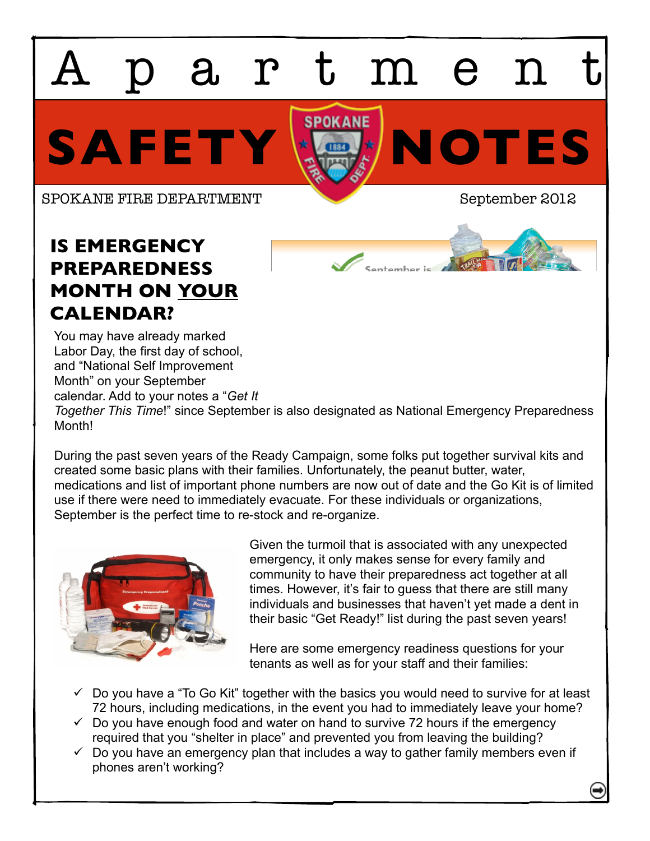artmen

SAFETY **ES** 

SPOKANE FIRE DEPARTMENT September 2012

## **IS EMERGENCY PREPAREDNESS MONTH ON YOUR CALENDAR?**

You may have already marked Labor Day, the first day of school, and "National Self Improvement Month" on your September calendar. Add to your notes a "*Get It Together This Time*!" since September is also designated as National Emergency Preparedness Month!

During the past seven years of the Ready Campaign, some folks put together survival kits and created some basic plans with their families. Unfortunately, the peanut butter, water, medications and list of important phone numbers are now out of date and the Go Kit is of limited use if there were need to immediately evacuate. For these individuals or organizations, September is the perfect time to re-stock and re-organize.



Given the turmoil that is associated with any unexpected emergency, it only makes sense for every family and community to have their preparedness act together at all times. However, it's fair to guess that there are still many individuals and businesses that haven't yet made a dent in their basic "Get Ready!" list during the past seven years!

Here are some emergency readiness questions for your tenants as well as for your staff and their families:

- $\checkmark$  Do you have a "To Go Kit" together with the basics you would need to survive for at least 72 hours, including medications, in the event you had to immediately leave your home?
- $\checkmark$  Do you have enough food and water on hand to survive 72 hours if the emergency required that you "shelter in place" and prevented you from leaving the building?
- $\checkmark$  Do you have an emergency plan that includes a way to gather family members even if phones aren't working?